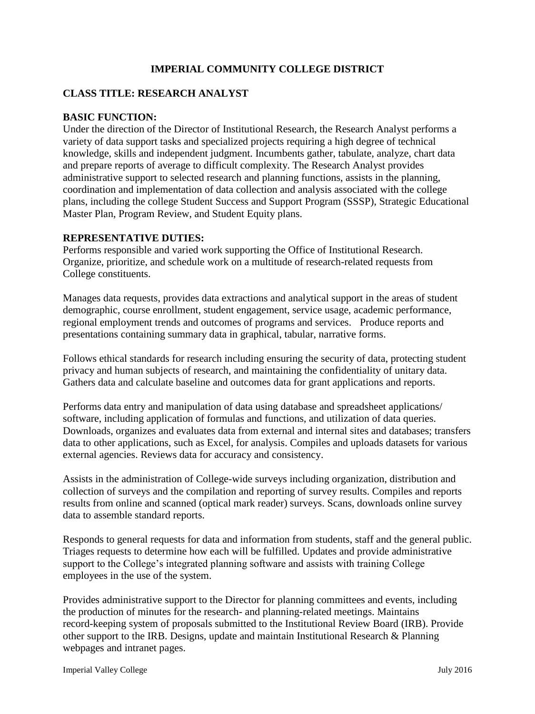# **IMPERIAL COMMUNITY COLLEGE DISTRICT**

### **CLASS TITLE: RESEARCH ANALYST**

#### **BASIC FUNCTION:**

Under the direction of the Director of Institutional Research, the Research Analyst performs a variety of data support tasks and specialized projects requiring a high degree of technical knowledge, skills and independent judgment. Incumbents gather, tabulate, analyze, chart data and prepare reports of average to difficult complexity. The Research Analyst provides administrative support to selected research and planning functions, assists in the planning, coordination and implementation of data collection and analysis associated with the college plans, including the college Student Success and Support Program (SSSP), Strategic Educational Master Plan, Program Review, and Student Equity plans.

#### **REPRESENTATIVE DUTIES:**

Performs responsible and varied work supporting the Office of Institutional Research. Organize, prioritize, and schedule work on a multitude of research-related requests from College constituents.

Manages data requests, provides data extractions and analytical support in the areas of student demographic, course enrollment, student engagement, service usage, academic performance, regional employment trends and outcomes of programs and services. Produce reports and presentations containing summary data in graphical, tabular, narrative forms.

Follows ethical standards for research including ensuring the security of data, protecting student privacy and human subjects of research, and maintaining the confidentiality of unitary data. Gathers data and calculate baseline and outcomes data for grant applications and reports.

Performs data entry and manipulation of data using database and spreadsheet applications/ software, including application of formulas and functions, and utilization of data queries. Downloads, organizes and evaluates data from external and internal sites and databases; transfers data to other applications, such as Excel, for analysis. Compiles and uploads datasets for various external agencies. Reviews data for accuracy and consistency.

Assists in the administration of College-wide surveys including organization, distribution and collection of surveys and the compilation and reporting of survey results. Compiles and reports results from online and scanned (optical mark reader) surveys. Scans, downloads online survey data to assemble standard reports.

Responds to general requests for data and information from students, staff and the general public. Triages requests to determine how each will be fulfilled. Updates and provide administrative support to the College's integrated planning software and assists with training College employees in the use of the system.

Provides administrative support to the Director for planning committees and events, including the production of minutes for the research- and planning-related meetings. Maintains record-keeping system of proposals submitted to the Institutional Review Board (IRB). Provide other support to the IRB. Designs, update and maintain Institutional Research & Planning webpages and intranet pages.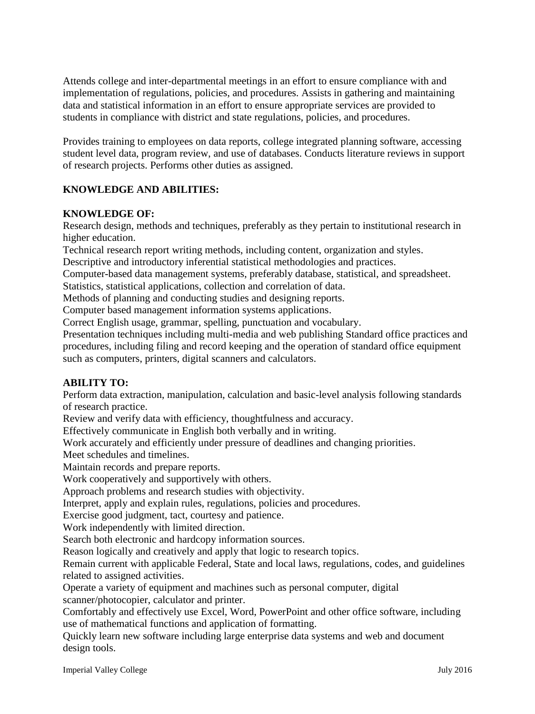Attends college and inter-departmental meetings in an effort to ensure compliance with and implementation of regulations, policies, and procedures. Assists in gathering and maintaining data and statistical information in an effort to ensure appropriate services are provided to students in compliance with district and state regulations, policies, and procedures.

Provides training to employees on data reports, college integrated planning software, accessing student level data, program review, and use of databases. Conducts literature reviews in support of research projects. Performs other duties as assigned.

# **KNOWLEDGE AND ABILITIES:**

### **KNOWLEDGE OF:**

Research design, methods and techniques, preferably as they pertain to institutional research in higher education.

Technical research report writing methods, including content, organization and styles.

Descriptive and introductory inferential statistical methodologies and practices.

Computer-based data management systems, preferably database, statistical, and spreadsheet.

Statistics, statistical applications, collection and correlation of data.

Methods of planning and conducting studies and designing reports.

Computer based management information systems applications.

Correct English usage, grammar, spelling, punctuation and vocabulary.

Presentation techniques including multi-media and web publishing Standard office practices and procedures, including filing and record keeping and the operation of standard office equipment such as computers, printers, digital scanners and calculators.

### **ABILITY TO:**

Perform data extraction, manipulation, calculation and basic-level analysis following standards of research practice.

Review and verify data with efficiency, thoughtfulness and accuracy.

Effectively communicate in English both verbally and in writing.

Work accurately and efficiently under pressure of deadlines and changing priorities.

Meet schedules and timelines.

Maintain records and prepare reports.

Work cooperatively and supportively with others.

Approach problems and research studies with objectivity.

Interpret, apply and explain rules, regulations, policies and procedures.

Exercise good judgment, tact, courtesy and patience.

Work independently with limited direction.

Search both electronic and hardcopy information sources.

Reason logically and creatively and apply that logic to research topics.

Remain current with applicable Federal, State and local laws, regulations, codes, and guidelines related to assigned activities.

Operate a variety of equipment and machines such as personal computer, digital scanner/photocopier, calculator and printer.

Comfortably and effectively use Excel, Word, PowerPoint and other office software, including use of mathematical functions and application of formatting.

Quickly learn new software including large enterprise data systems and web and document design tools.